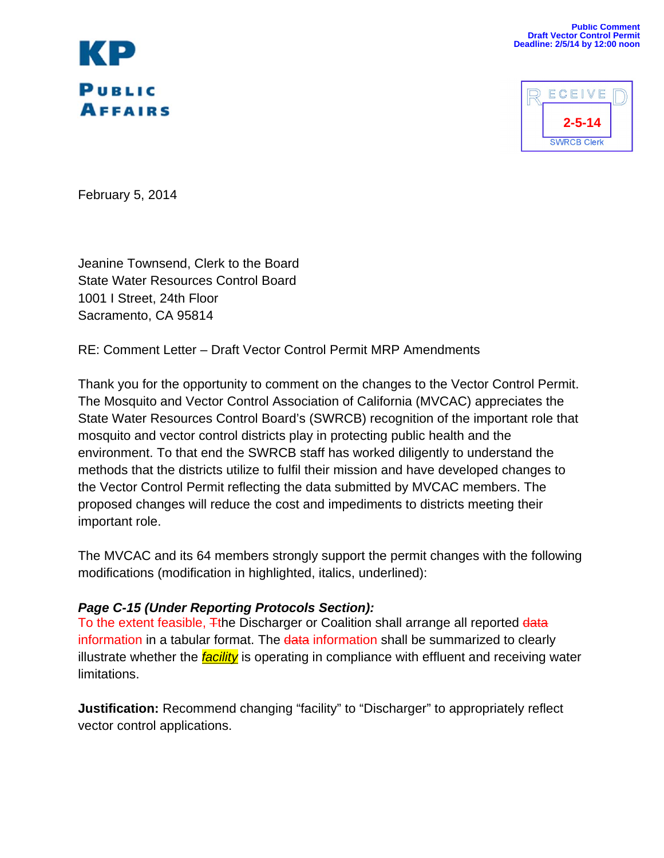



February 5, 2014

Jeanine Townsend, Clerk to the Board State Water Resources Control Board 1001 I Street, 24th Floor Sacramento, CA 95814

RE: Comment Letter – Draft Vector Control Permit MRP Amendments

Thank you for the opportunity to comment on the changes to the Vector Control Permit. The Mosquito and Vector Control Association of California (MVCAC) appreciates the State Water Resources Control Board's (SWRCB) recognition of the important role that mosquito and vector control districts play in protecting public health and the environment. To that end the SWRCB staff has worked diligently to understand the methods that the districts utilize to fulfil their mission and have developed changes to the Vector Control Permit reflecting the data submitted by MVCAC members. The proposed changes will reduce the cost and impediments to districts meeting their important role.

The MVCAC and its 64 members strongly support the permit changes with the following modifications (modification in highlighted, italics, underlined):

### *Page C-15 (Under Reporting Protocols Section):*

To the extent feasible, Tthe Discharger or Coalition shall arrange all reported data information in a tabular format. The data information shall be summarized to clearly illustrate whether the *facility* is operating in compliance with effluent and receiving water limitations.

**Justification:** Recommend changing "facility" to "Discharger" to appropriately reflect vector control applications.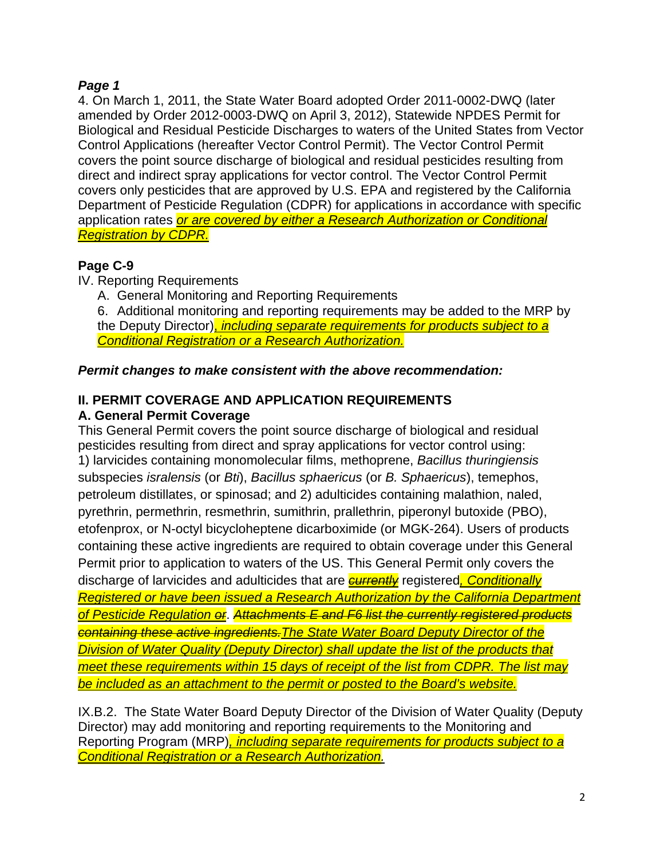# *Page 1*

4. On March 1, 2011, the State Water Board adopted Order 2011-0002-DWQ (later amended by Order 2012-0003-DWQ on April 3, 2012), Statewide NPDES Permit for Biological and Residual Pesticide Discharges to waters of the United States from Vector Control Applications (hereafter Vector Control Permit). The Vector Control Permit covers the point source discharge of biological and residual pesticides resulting from direct and indirect spray applications for vector control. The Vector Control Permit covers only pesticides that are approved by U.S. EPA and registered by the California Department of Pesticide Regulation (CDPR) for applications in accordance with specific application rates *or are covered by either a Research Authorization or Conditional Registration by CDPR.*

# **Page C-9**

IV. Reporting Requirements

A. General Monitoring and Reporting Requirements

6. Additional monitoring and reporting requirements may be added to the MRP by the Deputy Director), *including separate requirements for products subject to a Conditional Registration or a Research Authorization.*

# *Permit changes to make consistent with the above recommendation:*

# **II. PERMIT COVERAGE AND APPLICATION REQUIREMENTS**

### **A. General Permit Coverage**

This General Permit covers the point source discharge of biological and residual pesticides resulting from direct and spray applications for vector control using: 1) larvicides containing monomolecular films, methoprene, *Bacillus thuringiensis*  subspecies *isralensis* (or *Bti*), *Bacillus sphaericus* (or *B. Sphaericus*), temephos, petroleum distillates, or spinosad; and 2) adulticides containing malathion, naled, pyrethrin, permethrin, resmethrin, sumithrin, prallethrin, piperonyl butoxide (PBO), etofenprox, or N-octyl bicycloheptene dicarboximide (or MGK-264). Users of products containing these active ingredients are required to obtain coverage under this General Permit prior to application to waters of the US. This General Permit only covers the discharge of larvicides and adulticides that are *currently* registered*, Conditionally Registered or have been issued a Research Authorization by the California Department of Pesticide Regulation or*. *Attachments E and F6 list the currently registered products containing these active ingredients.The State Water Board Deputy Director of the Division of Water Quality (Deputy Director) shall update the list of the products that meet these requirements within 15 days of receipt of the list from CDPR. The list may be included as an attachment to the permit or posted to the Board's website.* 

IX.B.2. The State Water Board Deputy Director of the Division of Water Quality (Deputy Director) may add monitoring and reporting requirements to the Monitoring and Reporting Program (MRP)*, including separate requirements for products subject to a Conditional Registration or a Research Authorization.*